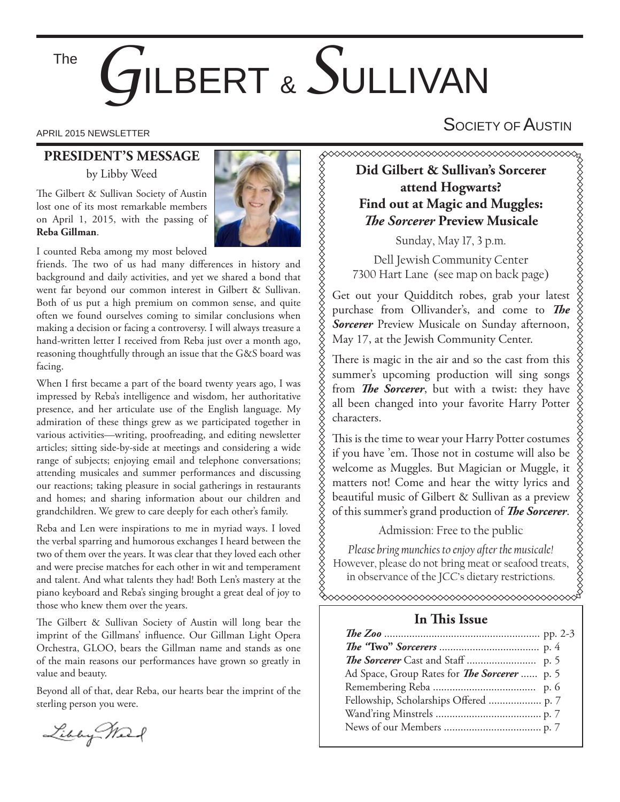The

# *G*ILBERT & *S*ULLIVAN

APRIL 2015 NEWSLETTER  $\mathsf{S}$ OCIETY OF  $\mathsf{A}$ USTIN

# **PRESIDENT'S MESSAGE**

by Libby Weed

The Gilbert & Sullivan Society of Austin lost one of its most remarkable members on April 1, 2015, with the passing of **Reba Gillman**.



I counted Reba among my most beloved

friends. The two of us had many differences in history and background and daily activities, and yet we shared a bond that went far beyond our common interest in Gilbert & Sullivan. Both of us put a high premium on common sense, and quite often we found ourselves coming to similar conclusions when making a decision or facing a controversy. I will always treasure a hand-written letter I received from Reba just over a month ago, reasoning thoughtfully through an issue that the G&S board was facing.

When I first became a part of the board twenty years ago, I was impressed by Reba's intelligence and wisdom, her authoritative presence, and her articulate use of the English language. My admiration of these things grew as we participated together in various activities—writing, proofreading, and editing newsletter articles; sitting side-by-side at meetings and considering a wide range of subjects; enjoying email and telephone conversations; attending musicales and summer performances and discussing our reactions; taking pleasure in social gatherings in restaurants and homes; and sharing information about our children and grandchildren. We grew to care deeply for each other's family.

Reba and Len were inspirations to me in myriad ways. I loved the verbal sparring and humorous exchanges I heard between the two of them over the years. It was clear that they loved each other and were precise matches for each other in wit and temperament and talent. And what talents they had! Both Len's mastery at the piano keyboard and Reba's singing brought a great deal of joy to those who knew them over the years.

The Gilbert & Sullivan Society of Austin will long bear the imprint of the Gillmans' influence. Our Gillman Light Opera Orchestra, GLOO, bears the Gillman name and stands as one of the main reasons our performances have grown so greatly in value and beauty.

Beyond all of that, dear Reba, our hearts bear the imprint of the sterling person you were.

**Did Gilbert & Sullivan's Sorcerer attend Hogwarts? Find out at Magic and Muggles: The Sorcerer Preview Musicale** 

Sunday, May 17, 3 p.m.

Dell Jewish Community Center 7300 Hart Lane (see map on back page)

Get out your Quidditch robes, grab your latest purchase from Ollivander's, and come to **The** *Sorcerer* Preview Musicale on Sunday afternoon, May 17, at the Jewish Community Center.

There is magic in the air and so the cast from this summer's upcoming production will sing songs from *The Sorcerer*, but with a twist: they have all been changed into your favorite Harry Potter characters.

This is the time to wear your Harry Potter costumes if you have 'em. Those not in costume will also be welcome as Muggles. But Magician or Muggle, it matters not! Come and hear the witty lyrics and beautiful music of Gilbert & Sullivan as a preview of this summer's grand production of *The Sorcerer*.

## Admission: Free to the public

*Please bring munchies to enjoy after the musicale!*  However, please do not bring meat or seafood treats, in observance of the JCC's dietary restrictions.

 $\infty$ 

## **In This Issue**

| Ad Space, Group Rates for <i>The Sorcerer</i> p. 5 |  |
|----------------------------------------------------|--|
|                                                    |  |
|                                                    |  |
|                                                    |  |
|                                                    |  |

Libby Mart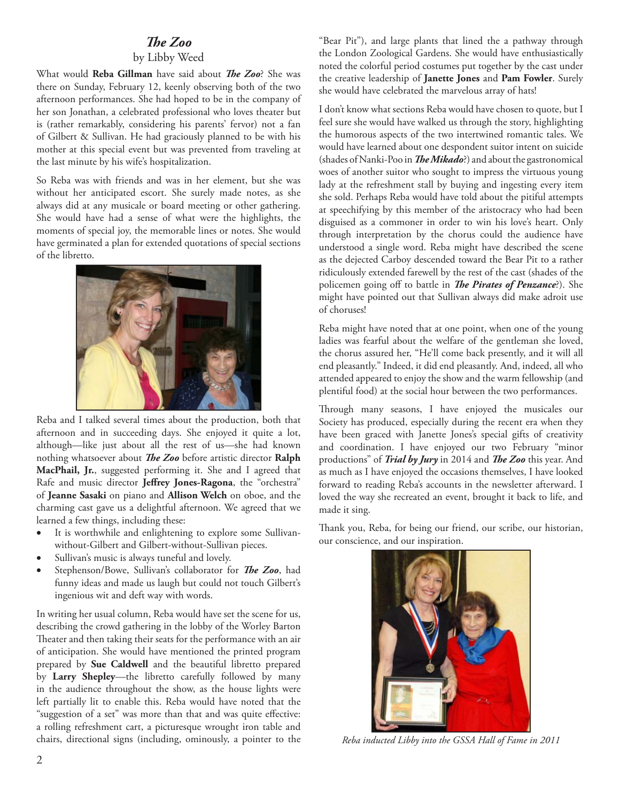### **The Zoo**

#### by Libby Weed

What would Reba Gillman have said about *The Zoo*? She was there on Sunday, February 12, keenly observing both of the two afternoon performances. She had hoped to be in the company of her son Jonathan, a celebrated professional who loves theater but is (rather remarkably, considering his parents' fervor) not a fan of Gilbert & Sullivan. He had graciously planned to be with his mother at this special event but was prevented from traveling at the last minute by his wife's hospitalization.

So Reba was with friends and was in her element, but she was without her anticipated escort. She surely made notes, as she always did at any musicale or board meeting or other gathering. She would have had a sense of what were the highlights, the moments of special joy, the memorable lines or notes. She would have germinated a plan for extended quotations of special sections of the libretto.



Reba and I talked several times about the production, both that afternoon and in succeeding days. She enjoyed it quite a lot, although—like just about all the rest of us—she had known nothing whatsoever about *The Zoo* before artistic director Ralph **MacPhail, Jr.**, suggested performing it. She and I agreed that Rafe and music director **Jeffrey Jones-Ragona**, the "orchestra" of **Jeanne Sasaki** on piano and **Allison Welch** on oboe, and the charming cast gave us a delightful afternoon. We agreed that we learned a few things, including these:

- It is worthwhile and enlightening to explore some Sullivanwithout-Gilbert and Gilbert-without-Sullivan pieces.
- Sullivan's music is always tuneful and lovely.
- Stephenson/Bowe, Sullivan's collaborator for *The Zoo*, had funny ideas and made us laugh but could not touch Gilbert's ingenious wit and deft way with words.

In writing her usual column, Reba would have set the scene for us, describing the crowd gathering in the lobby of the Worley Barton Theater and then taking their seats for the performance with an air of anticipation. She would have mentioned the printed program prepared by **Sue Caldwell** and the beautiful libretto prepared by **Larry Shepley**—the libretto carefully followed by many in the audience throughout the show, as the house lights were left partially lit to enable this. Reba would have noted that the "suggestion of a set" was more than that and was quite effective: a rolling refreshment cart, a picturesque wrought iron table and chairs, directional signs (including, ominously, a pointer to the

"Bear Pit"), and large plants that lined the a pathway through the London Zoological Gardens. She would have enthusiastically noted the colorful period costumes put together by the cast under the creative leadership of **Janette Jones** and **Pam Fowler**. Surely she would have celebrated the marvelous array of hats!

I don't know what sections Reba would have chosen to quote, but I feel sure she would have walked us through the story, highlighting the humorous aspects of the two intertwined romantic tales. We would have learned about one despondent suitor intent on suicide (shades of Nanki-Poo in *The Mikado*?) and about the gastronomical woes of another suitor who sought to impress the virtuous young lady at the refreshment stall by buying and ingesting every item she sold. Perhaps Reba would have told about the pitiful attempts at speechifying by this member of the aristocracy who had been disguised as a commoner in order to win his love's heart. Only through interpretation by the chorus could the audience have understood a single word. Reba might have described the scene as the dejected Carboy descended toward the Bear Pit to a rather ridiculously extended farewell by the rest of the cast (shades of the policemen going off to battle in *The Pirates of Penzance*?). She might have pointed out that Sullivan always did make adroit use of choruses!

Reba might have noted that at one point, when one of the young ladies was fearful about the welfare of the gentleman she loved, the chorus assured her, "He'll come back presently, and it will all end pleasantly." Indeed, it did end pleasantly. And, indeed, all who attended appeared to enjoy the show and the warm fellowship (and plentiful food) at the social hour between the two performances.

Through many seasons, I have enjoyed the musicales our Society has produced, especially during the recent era when they have been graced with Janette Jones's special gifts of creativity and coordination. I have enjoyed our two February "minor productions" of *Trial by Jury* in 2014 and *The Zoo* this year. And as much as I have enjoyed the occasions themselves, I have looked forward to reading Reba's accounts in the newsletter afterward. I loved the way she recreated an event, brought it back to life, and made it sing.

Thank you, Reba, for being our friend, our scribe, our historian, our conscience, and our inspiration.



*Reba inducted Libby into the GSSA Hall of Fame in 2011*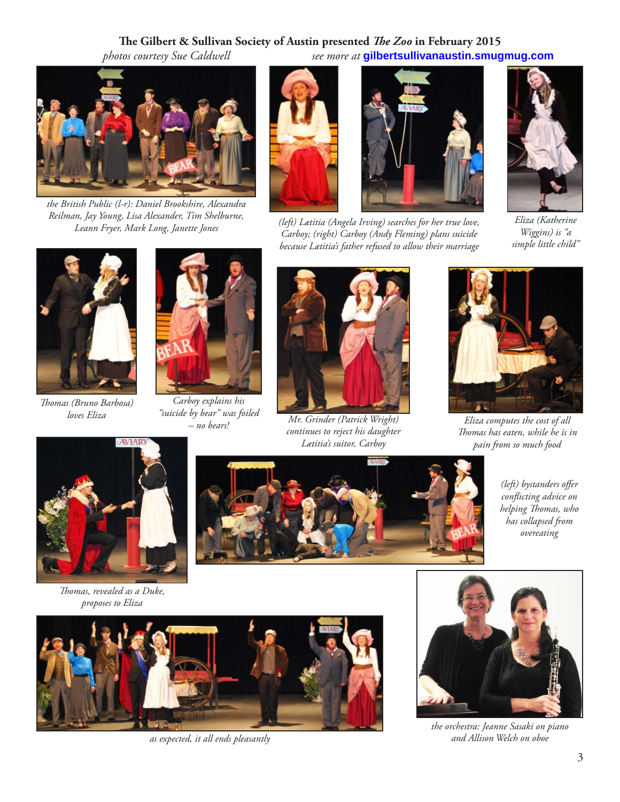### The Gilbert & Sullivan Society of Austin presented *The Zoo* in February 2015  *photos courtesy Sue Caldwell see more at* **gilbertsullivanaustin.smugmug.com**



*the British Public (l-r): Daniel Brookshire, Alexandra Reilman, Jay Young, Lisa Alexander, Tim Shelburne,* 







*Eliza (Katherine Wiggins) is "a simple little child"*



*Th omas (Bruno Barbosa) loves Eliza*



*Carboy explains his "suicide by bear" was foiled* 



*– no bears! Mr. Grinder (Patrick Wright) continues to reject his daughter Lætitia's suitor, Carboy*



*Eliza computes the cost of all Th omas has eaten, while he is in pain from so much food*



*Thomas, revealed as a Duke, proposes to Eliza*



*(left)* bystanders offer *confl icting advice on*   $h$ elping *Thomas*, who *has collapsed from overeating*





*the orchestra: Jeanne Sasaki on piano as expected, it all ends pleasantly and Allison Welch on oboe*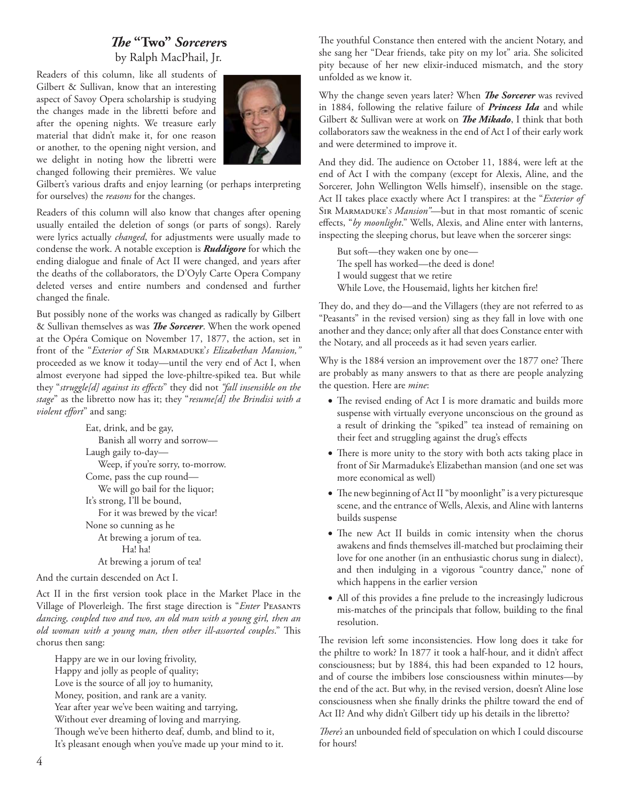# *Th e* **"Two"** *Sorcerer***s** by Ralph MacPhail, Jr.

Readers of this column, like all students of Gilbert & Sullivan, know that an interesting aspect of Savoy Opera scholarship is studying the changes made in the libretti before and after the opening nights. We treasure early material that didn't make it, for one reason or another, to the opening night version, and we delight in noting how the libretti were changed following their premières. We value



Gilbert's various drafts and enjoy learning (or perhaps interpreting for ourselves) the *reasons* for the changes.

Readers of this column will also know that changes after opening usually entailed the deletion of songs (or parts of songs). Rarely were lyrics actually *changed*, for adjustments were usually made to condense the work. A notable exception is *Ruddigore* for which the ending dialogue and finale of Act II were changed, and years after the deaths of the collaborators, the D'Oyly Carte Opera Company deleted verses and entire numbers and condensed and further changed the finale.

But possibly none of the works was changed as radically by Gilbert & Sullivan themselves as was *The Sorcerer*. When the work opened at the Opéra Comique on November 17, 1877, the action, set in front of the "*Exterior of* Sir Marmaduke'*s Elizabethan Mansion,"* proceeded as we know it today—until the very end of Act I, when almost everyone had sipped the love-philtre-spiked tea. But while they "struggle[d] against its effects" they did not "fall insensible on the *stage*" as the libretto now has it; they "*resume[d] the Brindisi with a violent effort*" and sang:

> Eat, drink, and be gay, Banish all worry and sorrow— Laugh gaily to-day— Weep, if you're sorry, to-morrow. Come, pass the cup round— We will go bail for the liquor; It's strong, I'll be bound, For it was brewed by the vicar! None so cunning as he At brewing a jorum of tea. Ha! ha! At brewing a jorum of tea!

And the curtain descended on Act I.

Act II in the first version took place in the Market Place in the Village of Ploverleigh. The first stage direction is "*Enter* PEASANTS *dancing, coupled two and two, an old man with a young girl, then an old woman with a young man, then other ill-assorted couples.*" This chorus then sang:

 Happy are we in our loving frivolity, Happy and jolly as people of quality; Love is the source of all joy to humanity, Money, position, and rank are a vanity. Year after year we've been waiting and tarrying, Without ever dreaming of loving and marrying. Though we've been hitherto deaf, dumb, and blind to it, It's pleasant enough when you've made up your mind to it. The youthful Constance then entered with the ancient Notary, and she sang her "Dear friends, take pity on my lot" aria. She solicited pity because of her new elixir-induced mismatch, and the story unfolded as we know it.

Why the change seven years later? When *The Sorcerer* was revived in 1884, following the relative failure of *Princess Ida* and while Gilbert & Sullivan were at work on *The Mikado*, I think that both collaborators saw the weakness in the end of Act I of their early work and were determined to improve it.

And they did. The audience on October 11, 1884, were left at the end of Act I with the company (except for Alexis, Aline, and the Sorcerer, John Wellington Wells himself), insensible on the stage. Act II takes place exactly where Act I transpires: at the "*Exterior of*  Sir Marmaduke'*S Mansion"*—but in that most romantic of scenic effects, "by moonlight." Wells, Alexis, and Aline enter with lanterns, inspecting the sleeping chorus, but leave when the sorcerer sings:

 But soft—they waken one by one— The spell has worked—the deed is done! I would suggest that we retire While Love, the Housemaid, lights her kitchen fire!

They do, and they do—and the Villagers (they are not referred to as "Peasants" in the revised version) sing as they fall in love with one another and they dance; only after all that does Constance enter with the Notary, and all proceeds as it had seven years earlier.

Why is the 1884 version an improvement over the 1877 one? There are probably as many answers to that as there are people analyzing the question. Here are *mine*:

- The revised ending of Act I is more dramatic and builds more suspense with virtually everyone unconscious on the ground as a result of drinking the "spiked" tea instead of remaining on their feet and struggling against the drug's effects
- There is more unity to the story with both acts taking place in front of Sir Marmaduke's Elizabethan mansion (and one set was more economical as well)
- The new beginning of Act II "by moonlight" is a very picturesque scene, and the entrance of Wells, Alexis, and Aline with lanterns builds suspense
- The new Act II builds in comic intensity when the chorus awakens and finds themselves ill-matched but proclaiming their love for one another (in an enthusiastic chorus sung in dialect), and then indulging in a vigorous "country dance," none of which happens in the earlier version
- All of this provides a fine prelude to the increasingly ludicrous mis-matches of the principals that follow, building to the final resolution.

The revision left some inconsistencies. How long does it take for the philtre to work? In 1877 it took a half-hour, and it didn't affect consciousness; but by 1884, this had been expanded to 12 hours, and of course the imbibers lose consciousness within minutes—by the end of the act. But why, in the revised version, doesn't Aline lose consciousness when she finally drinks the philtre toward the end of Act II? And why didn't Gilbert tidy up his details in the libretto?

There's an unbounded field of speculation on which I could discourse for hours!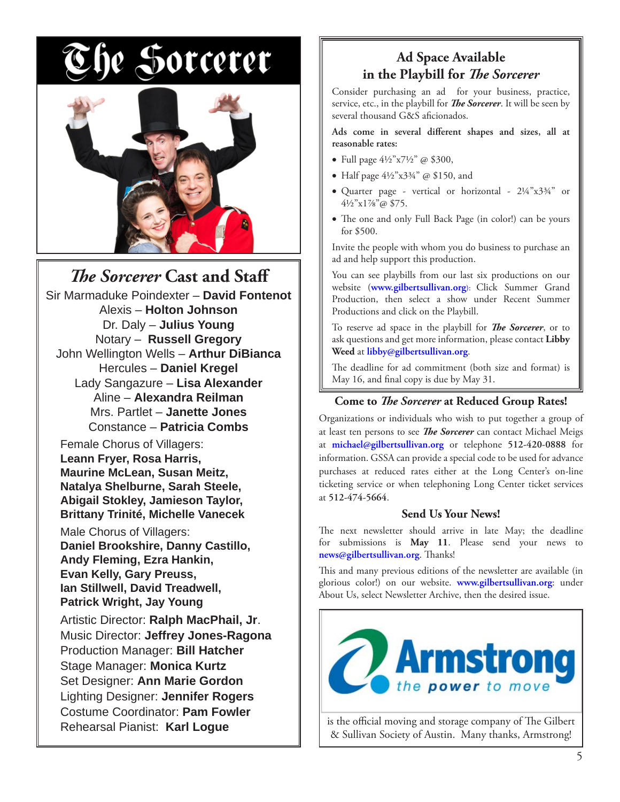# e Sorcerer



# *The Sorcerer* Cast and Staff

Sir Marmaduke Poindexter – **David Fontenot** Alexis – **Holton Johnson** Dr. Daly – **Julius Young** Notary – **Russell Gregory** John Wellington Wells – **Arthur DiBianca** Hercules – **Daniel Kregel** Lady Sangazure – **Lisa Alexander** Aline – **Alexandra Reilman** Mrs. Partlet – **Janette Jones** Constance – **Patricia Combs**

Female Chorus of Villagers: **Leann Fryer, Rosa Harris, Maurine McLean, Susan Meitz, Natalya Shelburne, Sarah Steele, Abigail Stokley, Jamieson Taylor, Brittany Trinité, Michelle Vanecek**

Male Chorus of Villagers: **Daniel Brookshire, Danny Castillo, Andy Fleming, Ezra Hankin, Evan Kelly, Gary Preuss, Ian Stillwell, David Treadwell, Patrick Wright, Jay Young**

Artistic Director: **Ralph MacPhail, Jr**. Music Director: **Jeffrey Jones-Ragona** Production Manager: **Bill Hatcher** Stage Manager: **Monica Kurtz** Set Designer: **Ann Marie Gordon** Lighting Designer: **Jennifer Rogers** Costume Coordinator: **Pam Fowler** Rehearsal Pianist: **Karl Logue**

# **Ad Space Available**  in the Playbill for *The Sorcerer*

Consider purchasing an ad for your business, practice, service, etc., in the playbill for **The Sorcerer**. It will be seen by several thousand G&S aficionados.

Ads come in several different shapes and sizes, all at **reasonable rates:**

- Full page  $4\frac{1}{2}$ " x7½" @ \$300,
- Half page  $4\frac{1}{2}$ "x3¼" @ \$150, and
- Quarter page vertical or horizontal 2¼"x3¾" or 4½"x1⅞"@ \$75.
- The one and only Full Back Page (in color!) can be yours for \$500.

Invite the people with whom you do business to purchase an ad and help support this production.

You can see playbills from our last six productions on our website (**www.gilbertsullivan.org**): Click Summer Grand Production, then select a show under Recent Summer Productions and click on the Playbill.

To reserve ad space in the playbill for *The Sorcerer*, or to ask questions and get more information, please contact **Libby Weed** at **libby@gilbertsullivan.org**.

The deadline for ad commitment (both size and format) is May 16, and final copy is due by May 31.

#### **Come to** *The Sorcerer* at Reduced Group Rates!

Organizations or individuals who wish to put together a group of at least ten persons to see *The Sorcerer* can contact Michael Meigs at **michael@gilbertsullivan.org** or telephone **512-420-0888** for information. GSSA can provide a special code to be used for advance purchases at reduced rates either at the Long Center's on-line ticketing service or when telephoning Long Center ticket services at **512-474-5664**.

#### **Send Us Your News!**

The next newsletter should arrive in late May; the deadline for submissions is **May 11**. Please send your news to news@gilbertsullivan.org. Thanks!

This and many previous editions of the newsletter are available (in glorious color!) on our website. **www.gilbertsullivan.org**: under About Us, select Newsletter Archive, then the desired issue.



is the official moving and storage company of The Gilbert & Sullivan Society of Austin. Many thanks, Armstrong!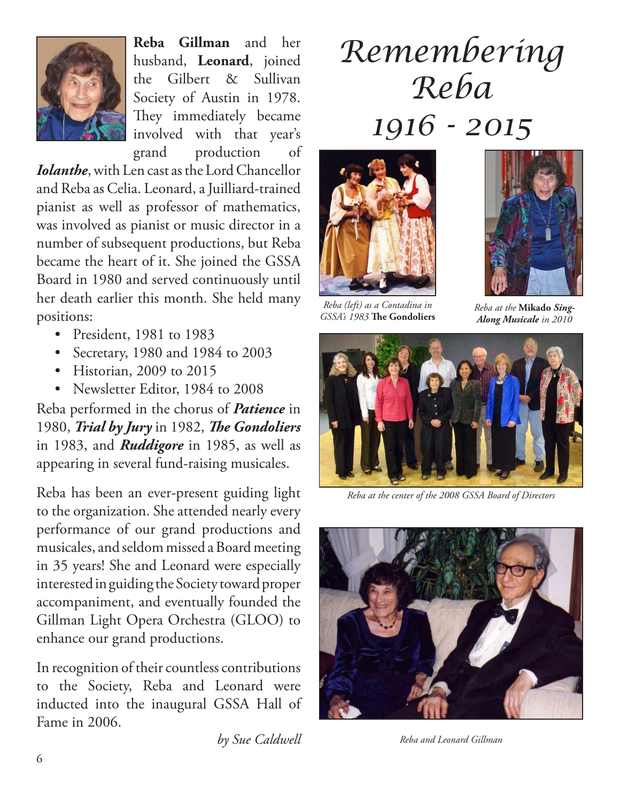

**Reba Gillman** and her husband, **Leonard**, joined the Gilbert & Sullivan Society of Austin in 1978. They immediately became involved with that year's grand production of

*Iolanthe*, with Len cast as the Lord Chancellor and Reba as Celia. Leonard, a Juilliard-trained pianist as well as professor of mathematics, was involved as pianist or music director in a number of subsequent productions, but Reba became the heart of it. She joined the GSSA Board in 1980 and served continuously until her death earlier this month. She held many positions:

- President, 1981 to 1983
- Secretary, 1980 and 1984 to 2003
- Historian, 2009 to 2015
- Newsletter Editor, 1984 to 2008

Reba performed in the chorus of *Patience* in 1980, *Trial by Jury* in 1982, *The Gondoliers* in 1983, and *Ruddigore* in 1985, as well as appearing in several fund-raising musicales.

Reba has been an ever-present guiding light to the organization. She attended nearly every performance of our grand productions and musicales, and seldom missed a Board meeting in 35 years! She and Leonard were especially interested in guiding the Society toward proper accompaniment, and eventually founded the Gillman Light Opera Orchestra (GLOO) to enhance our grand productions.

In recognition of their countless contributions to the Society, Reba and Leonard were inducted into the inaugural GSSA Hall of Fame in 2006.

# *Remembering Reba 1916 - 2015*



**GSSA's 1983 The Gondoliers** 



*Reba at the* **Mikado** *Sing-Along Musicale in 2010*



*Reba at the center of the 2008 GSSA Board of Directors*



*by Sue Caldwell Reba and Leonard Gillman*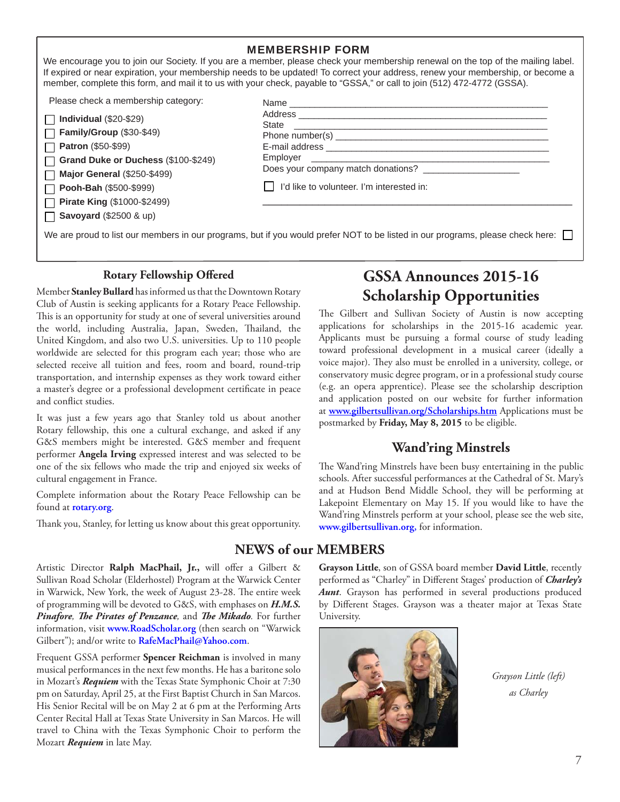|                                                                                                                                                                                                                                 | <b>MEMBERSHIP FORM</b><br>We encourage you to join our Society. If you are a member, please check your membership renewal on the top of the mailing label.<br>If expired or near expiration, your membership needs to be updated! To correct your address, renew your membership, or become a<br>member, complete this form, and mail it to us with your check, payable to "GSSA," or call to join (512) 472-4772 (GSSA). |
|---------------------------------------------------------------------------------------------------------------------------------------------------------------------------------------------------------------------------------|---------------------------------------------------------------------------------------------------------------------------------------------------------------------------------------------------------------------------------------------------------------------------------------------------------------------------------------------------------------------------------------------------------------------------|
| Please check a membership category:<br>Individual $(\$20-\$29)$<br>Family/Group (\$30-\$49)<br><b>Patron (\$50-\$99)</b><br>Grand Duke or Duchess (\$100-\$249)<br><b>Major General (\$250-\$499)</b><br>Pooh-Bah (\$500-\$999) | Employer<br>I'd like to volunteer. I'm interested in:                                                                                                                                                                                                                                                                                                                                                                     |
| <b>Pirate King (\$1000-\$2499)</b><br><b>Savoyard</b> (\$2500 & up)                                                                                                                                                             | We are proud to list our members in our programs, but if you would prefer NOT to be listed in our programs, please check here:                                                                                                                                                                                                                                                                                            |

### **Rotary Fellowship Offered**

Member **Stanley Bullard** has informed us that the Downtown Rotary Club of Austin is seeking applicants for a Rotary Peace Fellowship. This is an opportunity for study at one of several universities around the world, including Australia, Japan, Sweden, Thailand, the United Kingdom, and also two U.S. universities. Up to 110 people worldwide are selected for this program each year; those who are selected receive all tuition and fees, room and board, round-trip transportation, and internship expenses as they work toward either a master's degree or a professional development certificate in peace and conflict studies.

It was just a few years ago that Stanley told us about another Rotary fellowship, this one a cultural exchange, and asked if any G&S members might be interested. G&S member and frequent performer **Angela Irving** expressed interest and was selected to be one of the six fellows who made the trip and enjoyed six weeks of cultural engagement in France.

Complete information about the Rotary Peace Fellowship can be found at **rotary.org**.

Thank you, Stanley, for letting us know about this great opportunity.

# **GSSA Announces 2015-16 Scholarship Opportunities**

The Gilbert and Sullivan Society of Austin is now accepting applications for scholarships in the 2015-16 academic year. Applicants must be pursuing a formal course of study leading toward professional development in a musical career (ideally a voice major). They also must be enrolled in a university, college, or conservatory music degree program, or in a professional study course (e.g. an opera apprentice). Please see the scholarship description and application posted on our website for further information at **www.gilbertsullivan.org/Scholarships.htm** Applications must be postmarked by **Friday, May 8, 2015** to be eligible.

# **Wand'ring Minstrels**

The Wand'ring Minstrels have been busy entertaining in the public schools. After successful performances at the Cathedral of St. Mary's and at Hudson Bend Middle School, they will be performing at Lakepoint Elementary on May 15. If you would like to have the Wand'ring Minstrels perform at your school, please see the web site, **www.gilbertsullivan.org,** for information.

# **NEWS of our MEMBERS**

Artistic Director Ralph MacPhail, Jr., will offer a Gilbert & Sullivan Road Scholar (Elderhostel) Program at the Warwick Center in Warwick, New York, the week of August 23-28. The entire week of programming will be devoted to G&S, with emphases on *H.M.S. Pinafore*, *The Pirates of Penzance*, and *The Mikado*. For further information, visit **www.RoadScholar.org** (then search on "Warwick Gilbert"); and/or write to **RafeMacPhail@Yahoo.com**.

Frequent GSSA performer **Spencer Reichman** is involved in many musical performances in the next few months. He has a baritone solo in Mozart's *Requiem* with the Texas State Symphonic Choir at 7:30 pm on Saturday, April 25, at the First Baptist Church in San Marcos. His Senior Recital will be on May 2 at 6 pm at the Performing Arts Center Recital Hall at Texas State University in San Marcos. He will travel to China with the Texas Symphonic Choir to perform the Mozart *Requiem* in late May.

**Grayson Little**, son of GSSA board member **David Little**, recently performed as "Charley" in Different Stages' production of *Charley's* Aunt. Grayson has performed in several productions produced by Different Stages. Grayson was a theater major at Texas State University.



*Grayson Little (left) as Charley*